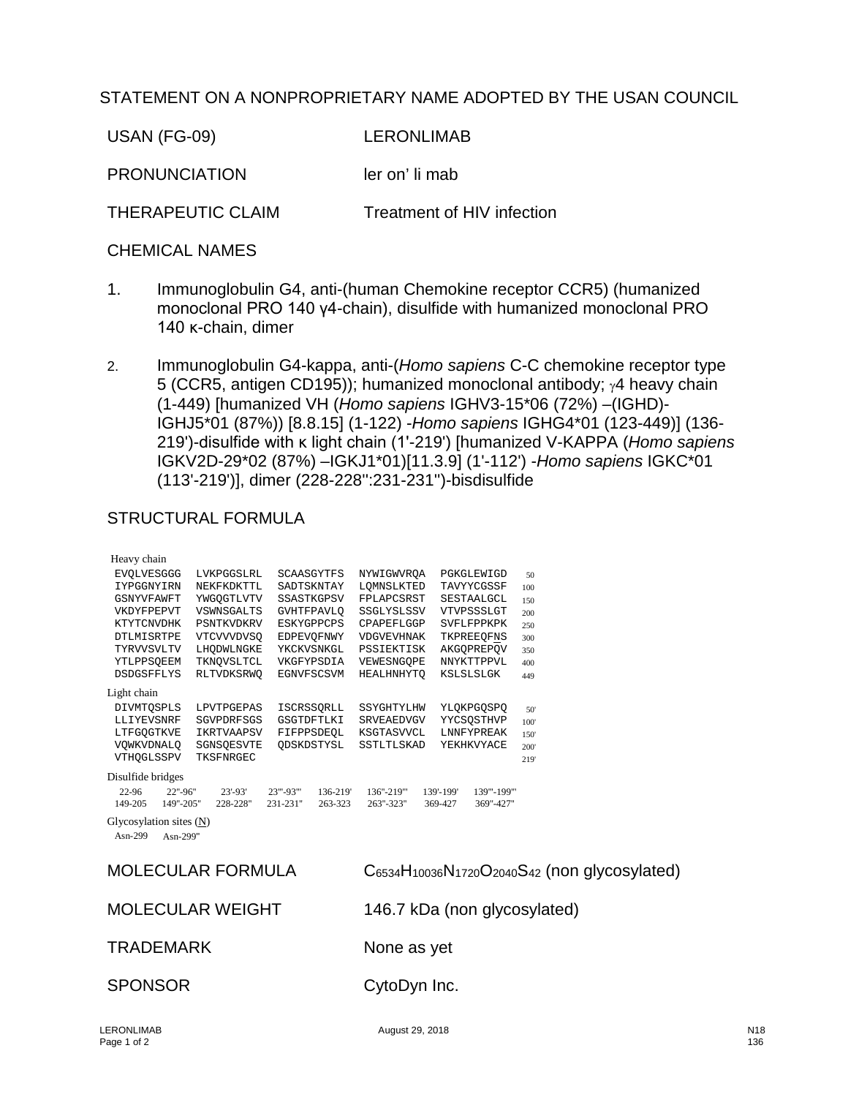## STATEMENT ON A NONPROPRIETARY NAME ADOPTED BY THE USAN COUNCIL

USAN (FG-09) LERONLIMAB

PRONUNCIATION ler on' li mab

THERAPEUTIC CLAIM Treatment of HIV infection

## CHEMICAL NAMES

- 1. Immunoglobulin G4, anti-(human Chemokine receptor CCR5) (humanized monoclonal PRO 140 γ4-chain), disulfide with humanized monoclonal PRO 140 κ-chain, dimer
- 2. Immunoglobulin G4-kappa, anti-(*Homo sapiens* C-C chemokine receptor type 5 (CCR5, antigen CD195)); humanized monoclonal antibody; γ4 heavy chain (1-449) [humanized VH (*Homo sapiens* IGHV3-15\*06 (72%) –(IGHD)- IGHJ5\*01 (87%)) [8.8.15] (1-122) -*Homo sapiens* IGHG4\*01 (123-449)] (136- 219')-disulfide with κ light chain (1'-219') [humanized V-KAPPA (*Homo sapiens* IGKV2D-29\*02 (87%) –IGKJ1\*01)[11.3.9] (1'-112') -*Homo sapiens* IGKC\*01 (113'-219')], dimer (228-228'':231-231'')-bisdisulfide

## STRUCTURAL FORMULA

| Heavy chain                                                   |                         |                                              |                                             |                                                  |      |
|---------------------------------------------------------------|-------------------------|----------------------------------------------|---------------------------------------------|--------------------------------------------------|------|
| <b>EVOLVESGGG</b>                                             | LVKPGGSLRL              | SCAASGYTFS                                   | NYWIGWVROA                                  | PGKGLEWIGD                                       | 50   |
| IYPGGNYIRN                                                    | NEKFKDKTTL              | SADTSKNTAY                                   | LQMNSLKTED                                  | TAVYYCGSSF                                       | 100  |
| GSNYVFAWFT                                                    | YWGOGTLVTV              | SSASTKGPSV                                   | FPLAPCSRST                                  | SESTAALGCL                                       | 150  |
| VKDYFPEPVT                                                    | VSWNSGALTS              | <b>GVHTFPAVLO</b>                            | SSGLYSLSSV                                  | VTVPSSSLGT                                       | 200  |
| KTYTCNVDHK                                                    | PSNTKVDKRV              | <b>ESKYGPPCPS</b>                            | CPAPEFLGGP                                  | SVFLFPPKPK                                       | 250  |
| DTLMISRTPE                                                    | VTCVVVDVSO              | EDPEVOFNWY                                   | <b>VDGVEVHNAK</b>                           | TKPREEQFNS                                       | 300  |
| <b>TYRVVSVLTV</b>                                             | LHODWLNGKE              | YKCKVSNKGL                                   | PSSIEKTISK                                  | AKGOPREPOV                                       | 350  |
| YTLPPSQEEM                                                    | TKNOVSLTCL              | VKGFYPSDIA                                   | VEWESNGQPE                                  | NNYKTTPPVL                                       | 400  |
| <b>DSDGSFFLYS</b>                                             | RLTVDKSRWO              | EGNVFSCSVM                                   | HEALHNHYTO                                  | KSLSLSLGK                                        | 449  |
| Light chain                                                   |                         |                                              |                                             |                                                  |      |
| DIVMTOSPLS                                                    | LPVTPGEPAS              | <b>ISCRSSORLL</b>                            | SSYGHTYLHW                                  | YLQKPGQSPQ                                       | 50'  |
| LLIYEVSNRF                                                    | SGVPDRFSGS              | GSGTDFTLKI                                   | SRVEAEDVGV                                  | YYCSQSTHVP                                       | 100' |
| LTFGOGTKVE                                                    | IKRTVAAPSV              | FIFPPSDEQL                                   | KSGTASVVCL                                  | LNNFYPREAK                                       | 150  |
| VOWKVDNALO                                                    | SGNSOESVTE              | ODSKDSTYSL                                   | SSTLTLSKAD                                  | YEKHKVYACE                                       | 200' |
| VTHOGLSSPV                                                    | TKSFNRGEC               |                                              |                                             |                                                  | 219' |
| Disulfide bridges<br>22-96<br>22"-96"<br>149"-205"<br>149-205 | $23' - 93'$<br>228-228" | 23"'-93"'<br>136-219'<br>231-231"<br>263-323 | 136"-219""<br>263"-323"                     | 139'-199'<br>139"'-199"'<br>369-427<br>369"-427" |      |
| Glycosylation sites (N)<br>Asn-299<br>Asn-299"                |                         |                                              |                                             |                                                  |      |
| <b>MOLECULAR FORMULA</b>                                      |                         |                                              | C6534H10036N1720O2040S42 (non glycosylated) |                                                  |      |
| <b>MOLECULAR WEIGHT</b>                                       |                         |                                              | 146.7 kDa (non glycosylated)                |                                                  |      |
| <b>TRADEMARK</b>                                              |                         |                                              | None as yet                                 |                                                  |      |
| <b>SPONSOR</b>                                                |                         |                                              | CytoDyn Inc.                                |                                                  |      |
|                                                               |                         |                                              |                                             |                                                  |      |